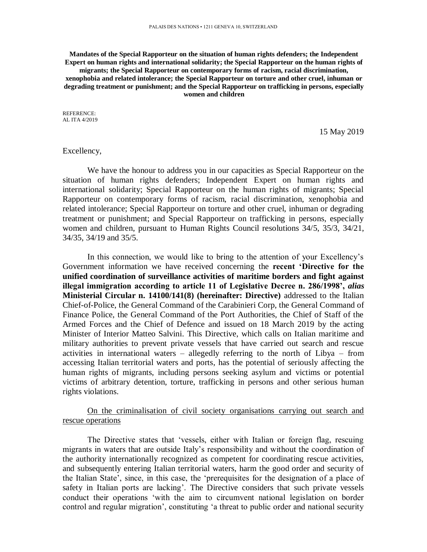**Mandates of the Special Rapporteur on the situation of human rights defenders; the Independent Expert on human rights and international solidarity; the Special Rapporteur on the human rights of** 

**migrants; the Special Rapporteur on contemporary forms of racism, racial discrimination, xenophobia and related intolerance; the Special Rapporteur on torture and other cruel, inhuman or degrading treatment or punishment; and the Special Rapporteur on trafficking in persons, especially women and children**

REFERENCE: AL ITA 4/2019

15 May 2019

### Excellency,

We have the honour to address you in our capacities as Special Rapporteur on the situation of human rights defenders; Independent Expert on human rights and international solidarity; Special Rapporteur on the human rights of migrants; Special Rapporteur on contemporary forms of racism, racial discrimination, xenophobia and related intolerance; Special Rapporteur on torture and other cruel, inhuman or degrading treatment or punishment; and Special Rapporteur on trafficking in persons, especially women and children, pursuant to Human Rights Council resolutions 34/5, 35/3, 34/21, 34/35, 34/19 and 35/5.

In this connection, we would like to bring to the attention of your Excellency's Government information we have received concerning the **recent 'Directive for the unified coordination of surveillance activities of maritime borders and fight against illegal immigration according to article 11 of Legislative Decree n. 286/1998',** *alias* **Ministerial Circular n. 14100/141(8) (hereinafter: Directive)** addressed to the Italian Chief-of-Police, the General Command of the Carabinieri Corp, the General Command of Finance Police, the General Command of the Port Authorities, the Chief of Staff of the Armed Forces and the Chief of Defence and issued on 18 March 2019 by the acting Minister of Interior Matteo Salvini. This Directive, which calls on Italian maritime and military authorities to prevent private vessels that have carried out search and rescue activities in international waters – allegedly referring to the north of Libya – from accessing Italian territorial waters and ports, has the potential of seriously affecting the human rights of migrants, including persons seeking asylum and victims or potential victims of arbitrary detention, torture, trafficking in persons and other serious human rights violations.

# On the criminalisation of civil society organisations carrying out search and rescue operations

The Directive states that 'vessels, either with Italian or foreign flag, rescuing migrants in waters that are outside Italy's responsibility and without the coordination of the authority internationally recognized as competent for coordinating rescue activities, and subsequently entering Italian territorial waters, harm the good order and security of the Italian State', since, in this case, the 'prerequisites for the designation of a place of safety in Italian ports are lacking'. The Directive considers that such private vessels conduct their operations 'with the aim to circumvent national legislation on border control and regular migration', constituting 'a threat to public order and national security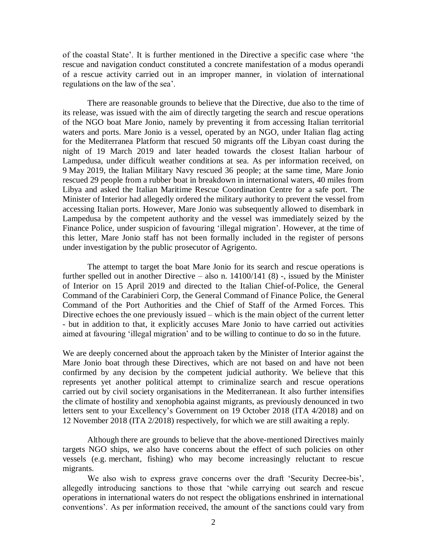of the coastal State'. It is further mentioned in the Directive a specific case where 'the rescue and navigation conduct constituted a concrete manifestation of a modus operandi of a rescue activity carried out in an improper manner, in violation of international regulations on the law of the sea'.

There are reasonable grounds to believe that the Directive, due also to the time of its release, was issued with the aim of directly targeting the search and rescue operations of the NGO boat Mare Jonio, namely by preventing it from accessing Italian territorial waters and ports. Mare Jonio is a vessel, operated by an NGO, under Italian flag acting for the Mediterranea Platform that rescued 50 migrants off the Libyan coast during the night of 19 March 2019 and later headed towards the closest Italian harbour of Lampedusa, under difficult weather conditions at sea. As per information received, on 9 May 2019, the Italian Military Navy rescued 36 people; at the same time, Mare Jonio rescued 29 people from a rubber boat in breakdown in international waters, 40 miles from Libya and asked the Italian Maritime Rescue Coordination Centre for a safe port. The Minister of Interior had allegedly ordered the military authority to prevent the vessel from accessing Italian ports. However, Mare Jonio was subsequently allowed to disembark in Lampedusa by the competent authority and the vessel was immediately seized by the Finance Police, under suspicion of favouring 'illegal migration'. However, at the time of this letter, Mare Jonio staff has not been formally included in the register of persons under investigation by the public prosecutor of Agrigento.

The attempt to target the boat Mare Jonio for its search and rescue operations is further spelled out in another Directive – also n.  $14100/141$  (8) -, issued by the Minister of Interior on 15 April 2019 and directed to the Italian Chief-of-Police, the General Command of the Carabinieri Corp, the General Command of Finance Police, the General Command of the Port Authorities and the Chief of Staff of the Armed Forces. This Directive echoes the one previously issued – which is the main object of the current letter - but in addition to that, it explicitly accuses Mare Jonio to have carried out activities aimed at favouring 'illegal migration' and to be willing to continue to do so in the future.

We are deeply concerned about the approach taken by the Minister of Interior against the Mare Jonio boat through these Directives, which are not based on and have not been confirmed by any decision by the competent judicial authority. We believe that this represents yet another political attempt to criminalize search and rescue operations carried out by civil society organisations in the Mediterranean. It also further intensifies the climate of hostility and xenophobia against migrants, as previously denounced in two letters sent to your Excellency's Government on 19 October 2018 (ITA 4/2018) and on 12 November 2018 (ITA 2/2018) respectively, for which we are still awaiting a reply.

Although there are grounds to believe that the above-mentioned Directives mainly targets NGO ships, we also have concerns about the effect of such policies on other vessels (e.g. merchant, fishing) who may become increasingly reluctant to rescue migrants.

We also wish to express grave concerns over the draft 'Security Decree-bis', allegedly introducing sanctions to those that 'while carrying out search and rescue operations in international waters do not respect the obligations enshrined in international conventions'. As per information received, the amount of the sanctions could vary from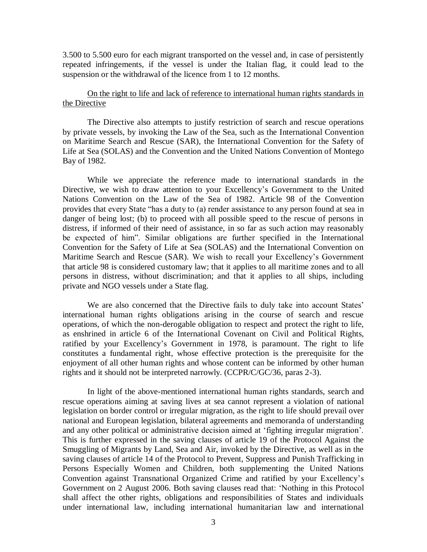3.500 to 5.500 euro for each migrant transported on the vessel and, in case of persistently repeated infringements, if the vessel is under the Italian flag, it could lead to the suspension or the withdrawal of the licence from 1 to 12 months.

### On the right to life and lack of reference to international human rights standards in the Directive

The Directive also attempts to justify restriction of search and rescue operations by private vessels, by invoking the Law of the Sea, such as the International Convention on Maritime Search and Rescue (SAR), the International Convention for the Safety of Life at Sea (SOLAS) and the Convention and the United Nations Convention of Montego Bay of 1982.

While we appreciate the reference made to international standards in the Directive, we wish to draw attention to your Excellency's Government to the United Nations Convention on the Law of the Sea of 1982. Article 98 of the Convention provides that every State "has a duty to (a) render assistance to any person found at sea in danger of being lost; (b) to proceed with all possible speed to the rescue of persons in distress, if informed of their need of assistance, in so far as such action may reasonably be expected of him". Similar obligations are further specified in the International Convention for the Safety of Life at Sea (SOLAS) and the International Convention on Maritime Search and Rescue (SAR). We wish to recall your Excellency's Government that article 98 is considered customary law; that it applies to all maritime zones and to all persons in distress, without discrimination; and that it applies to all ships, including private and NGO vessels under a State flag.

We are also concerned that the Directive fails to duly take into account States' international human rights obligations arising in the course of search and rescue operations, of which the non-derogable obligation to respect and protect the right to life, as enshrined in article 6 of the International Covenant on Civil and Political Rights, ratified by your Excellency's Government in 1978, is paramount. The right to life constitutes a fundamental right, whose effective protection is the prerequisite for the enjoyment of all other human rights and whose content can be informed by other human rights and it should not be interpreted narrowly. (CCPR/C/GC/36, paras 2-3).

In light of the above-mentioned international human rights standards, search and rescue operations aiming at saving lives at sea cannot represent a violation of national legislation on border control or irregular migration, as the right to life should prevail over national and European legislation, bilateral agreements and memoranda of understanding and any other political or administrative decision aimed at 'fighting irregular migration'. This is further expressed in the saving clauses of article 19 of the Protocol Against the Smuggling of Migrants by Land, Sea and Air, invoked by the Directive, as well as in the saving clauses of article 14 of the Protocol to Prevent, Suppress and Punish Trafficking in Persons Especially Women and Children, both supplementing the United Nations Convention against Transnational Organized Crime and ratified by your Excellency's Government on 2 August 2006. Both saving clauses read that: 'Nothing in this Protocol shall affect the other rights, obligations and responsibilities of States and individuals under international law, including international humanitarian law and international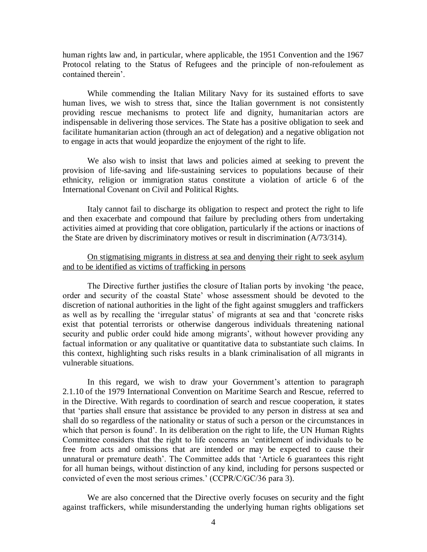human rights law and, in particular, where applicable, the 1951 Convention and the 1967 Protocol relating to the Status of Refugees and the principle of non-refoulement as contained therein'.

While commending the Italian Military Navy for its sustained efforts to save human lives, we wish to stress that, since the Italian government is not consistently providing rescue mechanisms to protect life and dignity, humanitarian actors are indispensable in delivering those services. The State has a positive obligation to seek and facilitate humanitarian action (through an act of delegation) and a negative obligation not to engage in acts that would jeopardize the enjoyment of the right to life.

We also wish to insist that laws and policies aimed at seeking to prevent the provision of life-saving and life-sustaining services to populations because of their ethnicity, religion or immigration status constitute a violation of article 6 of the International Covenant on Civil and Political Rights.

Italy cannot fail to discharge its obligation to respect and protect the right to life and then exacerbate and compound that failure by precluding others from undertaking activities aimed at providing that core obligation, particularly if the actions or inactions of the State are driven by discriminatory motives or result in discrimination (A/73/314).

## On stigmatising migrants in distress at sea and denying their right to seek asylum and to be identified as victims of trafficking in persons

The Directive further justifies the closure of Italian ports by invoking 'the peace, order and security of the coastal State' whose assessment should be devoted to the discretion of national authorities in the light of the fight against smugglers and traffickers as well as by recalling the 'irregular status' of migrants at sea and that 'concrete risks exist that potential terrorists or otherwise dangerous individuals threatening national security and public order could hide among migrants', without however providing any factual information or any qualitative or quantitative data to substantiate such claims. In this context, highlighting such risks results in a blank criminalisation of all migrants in vulnerable situations.

In this regard, we wish to draw your Government's attention to paragraph 2.1.10 of the 1979 International Convention on Maritime Search and Rescue, referred to in the Directive. With regards to coordination of search and rescue cooperation, it states that 'parties shall ensure that assistance be provided to any person in distress at sea and shall do so regardless of the nationality or status of such a person or the circumstances in which that person is found'. In its deliberation on the right to life, the UN Human Rights Committee considers that the right to life concerns an 'entitlement of individuals to be free from acts and omissions that are intended or may be expected to cause their unnatural or premature death'. The Committee adds that 'Article 6 guarantees this right for all human beings, without distinction of any kind, including for persons suspected or convicted of even the most serious crimes.' (CCPR/C/GC/36 para 3).

We are also concerned that the Directive overly focuses on security and the fight against traffickers, while misunderstanding the underlying human rights obligations set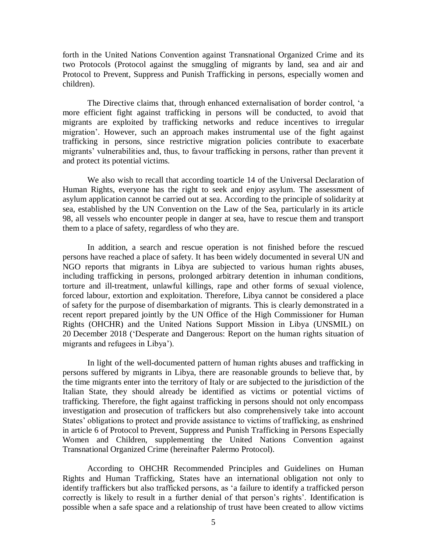forth in the United Nations Convention against Transnational Organized Crime and its two Protocols (Protocol against the smuggling of migrants by land, sea and air and Protocol to Prevent, Suppress and Punish Trafficking in persons, especially women and children).

The Directive claims that, through enhanced externalisation of border control, 'a more efficient fight against trafficking in persons will be conducted, to avoid that migrants are exploited by trafficking networks and reduce incentives to irregular migration'. However, such an approach makes instrumental use of the fight against trafficking in persons, since restrictive migration policies contribute to exacerbate migrants' vulnerabilities and, thus, to favour trafficking in persons, rather than prevent it and protect its potential victims.

We also wish to recall that according toarticle 14 of the Universal Declaration of Human Rights, everyone has the right to seek and enjoy asylum. The assessment of asylum application cannot be carried out at sea. According to the principle of solidarity at sea, established by the UN Convention on the Law of the Sea, particularly in its article 98, all vessels who encounter people in danger at sea, have to rescue them and transport them to a place of safety, regardless of who they are.

In addition, a search and rescue operation is not finished before the rescued persons have reached a place of safety. It has been widely documented in several UN and NGO reports that migrants in Libya are subjected to various human rights abuses, including trafficking in persons, prolonged arbitrary detention in inhuman conditions, torture and ill-treatment, unlawful killings, rape and other forms of sexual violence, forced labour, extortion and exploitation. Therefore, Libya cannot be considered a place of safety for the purpose of disembarkation of migrants. This is clearly demonstrated in a recent report prepared jointly by the UN Office of the High Commissioner for Human Rights (OHCHR) and the United Nations Support Mission in Libya (UNSMIL) on 20 December 2018 ('Desperate and Dangerous: Report on the human rights situation of migrants and refugees in Libya').

In light of the well-documented pattern of human rights abuses and trafficking in persons suffered by migrants in Libya, there are reasonable grounds to believe that, by the time migrants enter into the territory of Italy or are subjected to the jurisdiction of the Italian State, they should already be identified as victims or potential victims of trafficking. Therefore, the fight against trafficking in persons should not only encompass investigation and prosecution of traffickers but also comprehensively take into account States' obligations to protect and provide assistance to victims of trafficking, as enshrined in article 6 of Protocol to Prevent, Suppress and Punish Trafficking in Persons Especially Women and Children, supplementing the United Nations Convention against Transnational Organized Crime (hereinafter Palermo Protocol).

According to OHCHR Recommended Principles and Guidelines on Human Rights and Human Trafficking, States have an international obligation not only to identify traffickers but also trafficked persons, as 'a failure to identify a trafficked person correctly is likely to result in a further denial of that person's rights'. Identification is possible when a safe space and a relationship of trust have been created to allow victims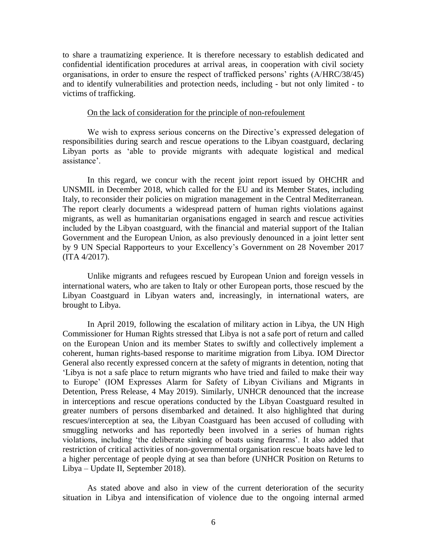to share a traumatizing experience. It is therefore necessary to establish dedicated and confidential identification procedures at arrival areas, in cooperation with civil society organisations, in order to ensure the respect of trafficked persons' rights (A/HRC/38/45) and to identify vulnerabilities and protection needs, including - but not only limited - to victims of trafficking.

#### On the lack of consideration for the principle of non-refoulement

We wish to express serious concerns on the Directive's expressed delegation of responsibilities during search and rescue operations to the Libyan coastguard, declaring Libyan ports as 'able to provide migrants with adequate logistical and medical assistance'.

In this regard, we concur with the recent joint report issued by OHCHR and UNSMIL in December 2018, which called for the EU and its Member States, including Italy, to reconsider their policies on migration management in the Central Mediterranean. The report clearly documents a widespread pattern of human rights violations against migrants, as well as humanitarian organisations engaged in search and rescue activities included by the Libyan coastguard, with the financial and material support of the Italian Government and the European Union, as also previously denounced in a joint letter sent by 9 UN Special Rapporteurs to your Excellency's Government on 28 November 2017 (ITA 4/2017).

Unlike migrants and refugees rescued by European Union and foreign vessels in international waters, who are taken to Italy or other European ports, those rescued by the Libyan Coastguard in Libyan waters and, increasingly, in international waters, are brought to Libya.

In April 2019, following the escalation of military action in Libya, the UN High Commissioner for Human Rights stressed that Libya is not a safe port of return and called on the European Union and its member States to swiftly and collectively implement a coherent, human rights-based response to maritime migration from Libya. IOM Director General also recently expressed concern at the safety of migrants in detention, noting that 'Libya is not a safe place to return migrants who have tried and failed to make their way to Europe' (IOM Expresses Alarm for Safety of Libyan Civilians and Migrants in Detention, Press Release, 4 May 2019). Similarly, UNHCR denounced that the increase in interceptions and rescue operations conducted by the Libyan Coastguard resulted in greater numbers of persons disembarked and detained. It also highlighted that during rescues/interception at sea, the Libyan Coastguard has been accused of colluding with smuggling networks and has reportedly been involved in a series of human rights violations, including 'the deliberate sinking of boats using firearms'. It also added that restriction of critical activities of non-governmental organisation rescue boats have led to a higher percentage of people dying at sea than before (UNHCR Position on Returns to Libya – Update II, September 2018).

As stated above and also in view of the current deterioration of the security situation in Libya and intensification of violence due to the ongoing internal armed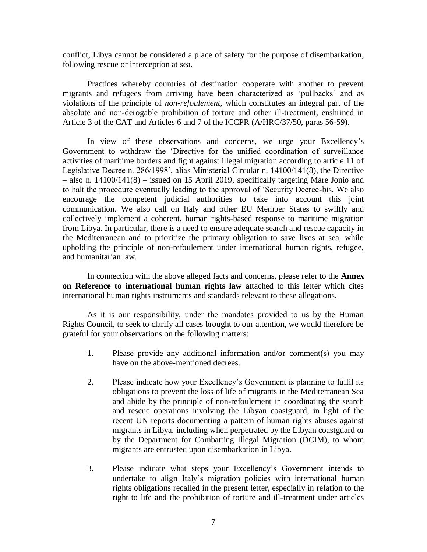conflict, Libya cannot be considered a place of safety for the purpose of disembarkation, following rescue or interception at sea.

Practices whereby countries of destination cooperate with another to prevent migrants and refugees from arriving have been characterized as 'pullbacks' and as violations of the principle of *non-refoulement,* which constitutes an integral part of the absolute and non-derogable prohibition of torture and other ill-treatment, enshrined in Article 3 of the CAT and Articles 6 and 7 of the ICCPR (A/HRC/37/50, paras 56-59).

In view of these observations and concerns, we urge your Excellency's Government to withdraw the 'Directive for the unified coordination of surveillance activities of maritime borders and fight against illegal migration according to article 11 of Legislative Decree n. 286/1998', alias Ministerial Circular n. 14100/141(8), the Directive – also n. 14100/141(8) – issued on 15 April 2019, specifically targeting Mare Jonio and to halt the procedure eventually leading to the approval of 'Security Decree-bis. We also encourage the competent judicial authorities to take into account this joint communication. We also call on Italy and other EU Member States to swiftly and collectively implement a coherent, human rights-based response to maritime migration from Libya. In particular, there is a need to ensure adequate search and rescue capacity in the Mediterranean and to prioritize the primary obligation to save lives at sea, while upholding the principle of non-refoulement under international human rights, refugee, and humanitarian law.

In connection with the above alleged facts and concerns, please refer to the **Annex on Reference to international human rights law** attached to this letter which cites international human rights instruments and standards relevant to these allegations.

As it is our responsibility, under the mandates provided to us by the Human Rights Council, to seek to clarify all cases brought to our attention, we would therefore be grateful for your observations on the following matters:

- 1. Please provide any additional information and/or comment(s) you may have on the above-mentioned decrees.
- 2. Please indicate how your Excellency's Government is planning to fulfil its obligations to prevent the loss of life of migrants in the Mediterranean Sea and abide by the principle of non-refoulement in coordinating the search and rescue operations involving the Libyan coastguard, in light of the recent UN reports documenting a pattern of human rights abuses against migrants in Libya, including when perpetrated by the Libyan coastguard or by the Department for Combatting Illegal Migration (DCIM), to whom migrants are entrusted upon disembarkation in Libya.
- 3. Please indicate what steps your Excellency's Government intends to undertake to align Italy's migration policies with international human rights obligations recalled in the present letter, especially in relation to the right to life and the prohibition of torture and ill-treatment under articles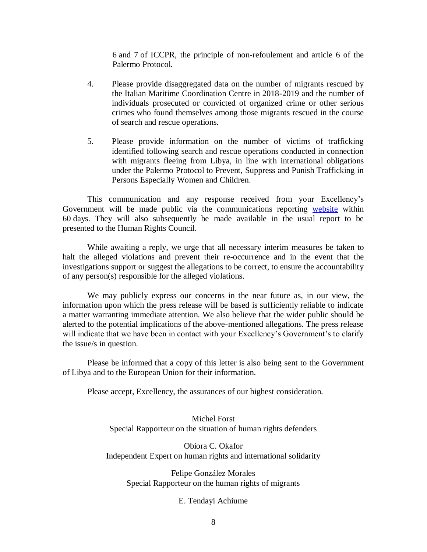6 and 7 of ICCPR, the principle of non-refoulement and article 6 of the Palermo Protocol.

- 4. Please provide disaggregated data on the number of migrants rescued by the Italian Maritime Coordination Centre in 2018-2019 and the number of individuals prosecuted or convicted of organized crime or other serious crimes who found themselves among those migrants rescued in the course of search and rescue operations.
- 5. Please provide information on the number of victims of trafficking identified following search and rescue operations conducted in connection with migrants fleeing from Libya, in line with international obligations under the Palermo Protocol to Prevent, Suppress and Punish Trafficking in Persons Especially Women and Children.

This communication and any response received from your Excellency's Government will be made public via the communications reporting [website](https://spcommreports.ohchr.org/) within 60 days. They will also subsequently be made available in the usual report to be presented to the Human Rights Council.

While awaiting a reply, we urge that all necessary interim measures be taken to halt the alleged violations and prevent their re-occurrence and in the event that the investigations support or suggest the allegations to be correct, to ensure the accountability of any person(s) responsible for the alleged violations.

We may publicly express our concerns in the near future as, in our view, the information upon which the press release will be based is sufficiently reliable to indicate a matter warranting immediate attention. We also believe that the wider public should be alerted to the potential implications of the above-mentioned allegations. The press release will indicate that we have been in contact with your Excellency's Government's to clarify the issue/s in question.

Please be informed that a copy of this letter is also being sent to the Government of Libya and to the European Union for their information.

Please accept, Excellency, the assurances of our highest consideration.

Michel Forst Special Rapporteur on the situation of human rights defenders

Obiora C. Okafor Independent Expert on human rights and international solidarity

Felipe González Morales Special Rapporteur on the human rights of migrants

E. Tendayi Achiume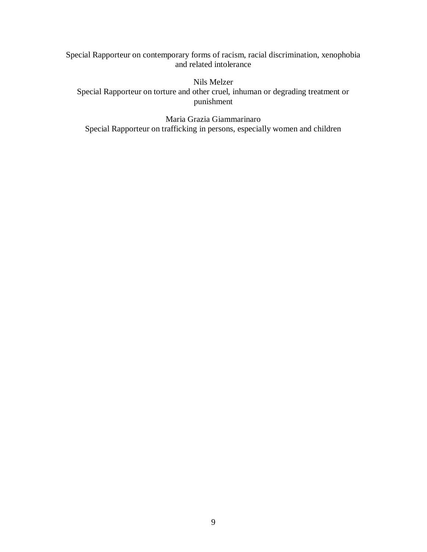Special Rapporteur on contemporary forms of racism, racial discrimination, xenophobia and related intolerance

Nils Melzer Special Rapporteur on torture and other cruel, inhuman or degrading treatment or punishment

Maria Grazia Giammarinaro Special Rapporteur on trafficking in persons, especially women and children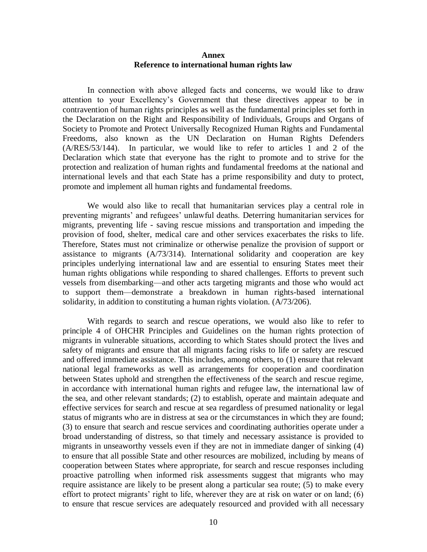#### **Annex Reference to international human rights law**

In connection with above alleged facts and concerns, we would like to draw attention to your Excellency's Government that these directives appear to be in contravention of human rights principles as well as the fundamental principles set forth in the Declaration on the Right and Responsibility of Individuals, Groups and Organs of Society to Promote and Protect Universally Recognized Human Rights and Fundamental Freedoms, also known as the UN Declaration on Human Rights Defenders (A/RES/53/144). In particular, we would like to refer to articles 1 and 2 of the Declaration which state that everyone has the right to promote and to strive for the protection and realization of human rights and fundamental freedoms at the national and international levels and that each State has a prime responsibility and duty to protect, promote and implement all human rights and fundamental freedoms.

We would also like to recall that humanitarian services play a central role in preventing migrants' and refugees' unlawful deaths. Deterring humanitarian services for migrants, preventing life - saving rescue missions and transportation and impeding the provision of food, shelter, medical care and other services exacerbates the risks to life. Therefore, States must not criminalize or otherwise penalize the provision of support or assistance to migrants (A/73/314). International solidarity and cooperation are key principles underlying international law and are essential to ensuring States meet their human rights obligations while responding to shared challenges. Efforts to prevent such vessels from disembarking—and other acts targeting migrants and those who would act to support them—demonstrate a breakdown in human rights-based international solidarity, in addition to constituting a human rights violation. (A/73/206).

With regards to search and rescue operations, we would also like to refer to principle 4 of OHCHR Principles and Guidelines on the human rights protection of migrants in vulnerable situations, according to which States should protect the lives and safety of migrants and ensure that all migrants facing risks to life or safety are rescued and offered immediate assistance. This includes, among others, to (1) ensure that relevant national legal frameworks as well as arrangements for cooperation and coordination between States uphold and strengthen the effectiveness of the search and rescue regime, in accordance with international human rights and refugee law, the international law of the sea, and other relevant standards; (2) to establish, operate and maintain adequate and effective services for search and rescue at sea regardless of presumed nationality or legal status of migrants who are in distress at sea or the circumstances in which they are found; (3) to ensure that search and rescue services and coordinating authorities operate under a broad understanding of distress, so that timely and necessary assistance is provided to migrants in unseaworthy vessels even if they are not in immediate danger of sinking (4) to ensure that all possible State and other resources are mobilized, including by means of cooperation between States where appropriate, for search and rescue responses including proactive patrolling when informed risk assessments suggest that migrants who may require assistance are likely to be present along a particular sea route; (5) to make every effort to protect migrants' right to life, wherever they are at risk on water or on land; (6) to ensure that rescue services are adequately resourced and provided with all necessary